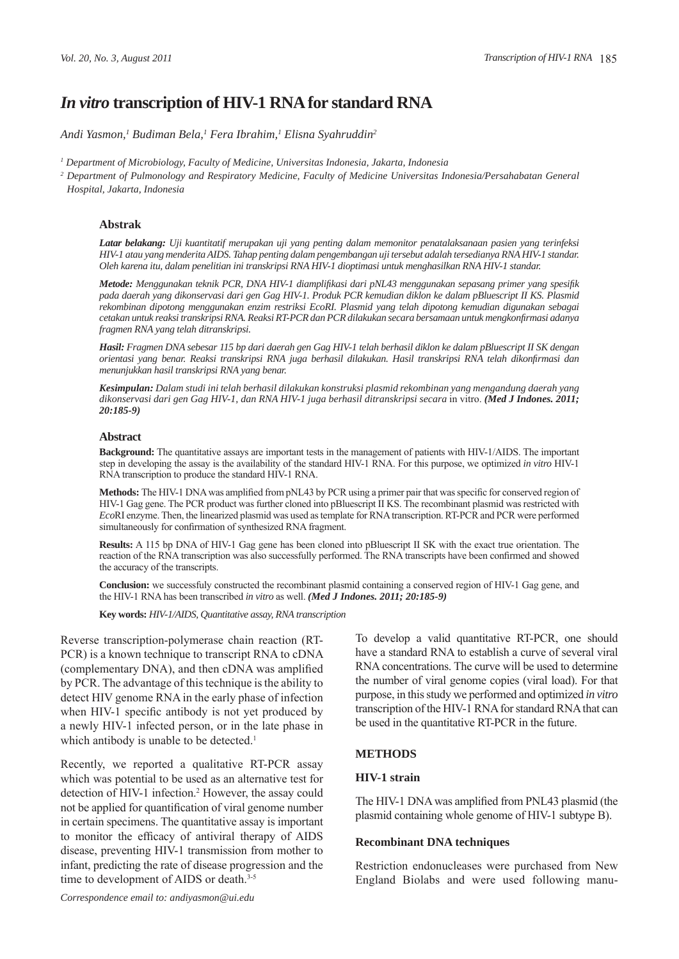# *In vitro* **transcription of HIV-1 RNA for standard RNA**

*Andi Yasmon,1 Budiman Bela,1 Fera Ibrahim,1 Elisna Syahruddin2*

*1 Department of Microbiology, Faculty of Medicine, Universitas Indonesia, Jakarta, Indonesia*

<sup>2</sup> Department of Pulmonology and Respiratory Medicine, Faculty of Medicine Universitas Indonesia/Persahabatan General *Hospital, Jakarta, Indonesia*

#### **Abstrak**

*Latar belakang: Uji kuantitatif merupakan uji yang penting dalam memonitor penatalaksanaan pasien yang terinfeksi HIV-1 atau yang menderita AIDS. Tahap penting dalam pengembangan uji tersebut adalah tersedianya RNA HIV-1 standar. Oleh karena itu, dalam penelitian ini transkripsi RNA HIV-1 dioptimasi untuk menghasilkan RNA HIV-1 standar.* 

*Metode: Menggunakan teknik PCR, DNA HIV-1 diamplifi kasi dari pNL43 menggunakan sepasang primer yang spesifi k pada daerah yang dikonservasi dari gen Gag HIV-1. Produk PCR kemudian diklon ke dalam pBluescript II KS . Plasmid rekombinan dipotong menggunakan enzim restriksi EcoRI. Plasmid yang telah dipotong kemudian digunakan sebagai cetakan untuk reaksi transkripsi RNA. Reaksi RT-PCR dan PCR dilakukan secara bersamaan untuk mengkonfi rmasi adanya fragmen RNA yang telah ditranskripsi.*

*Hasil: Fragmen DNA sebesar 115 bp dari daerah gen Gag HIV-1 telah berhasil diklon ke dalam pBluescript II SK dengan orientasi yang benar. Reaksi transkripsi RNA juga berhasil dilakukan. Hasil transkripsi RNA telah dikonfi rmasi dan menunjukkan hasil transkripsi RNA yang benar.*

*Kesimpulan: Dalam studi ini telah berhasil dilakukan konstruksi plasmid rekombinan yang mengandung daerah yang*  dikonservasi dari gen Gag HIV-1, dan RNA HIV-1 juga berhasil ditranskripsi secara in vitro. (Med J Indones. 2011; *20:185-9)*

#### **Abstract**

**Background:** The quantitative assays are important tests in the management of patients with HIV-1/AIDS. The important step in developing the assay is the availability of the standard HIV-1 RNA. For this purpose, we optimized *in vitro* HIV-1 RNA transcription to produce the standard HIV-1 RNA.

**Methods:** The HIV-1 DNA was amplified from pNL43 by PCR using a primer pair that was specific for conserved region of HIV-1 Gag gene. The PCR product was further cloned into pBluescript II KS . The recombinant plasmid was restricted with *Eco*RI enzyme. Then, the linearized plasmid was used as template for RNA transcription. RT-PCR and PCR were performed simultaneously for confirmation of synthesized RNA fragment.

**Results:** A 115 bp DNA of HIV-1 Gag gene has been cloned into pBluescript II SK with the exact true orientation. The reaction of the RNA transcription was also successfully performed. The RNA transcripts have been confirmed and showed the accuracy of the transcripts.

**Conclusion:** we successfuly constructed the recombinant plasmid containing a conserved region of HIV-1 Gag gene, and the HIV-1 RNA has been transcribed *in vitro* as well. *(Med J Indones. 2011; 20:185-9)*

**Key words:** *HIV-1/AIDS, Quantitative assay, RNA transcription*

Reverse transcription-polymerase chain reaction (RT-PCR) is a known technique to transcript RNA to cDNA (complementary DNA), and then cDNA was amplified by PCR. The advantage of this technique is the ability to detect HIV genome RNA in the early phase of infection when HIV-1 specific antibody is not yet produced by a newly HIV-1 infected person, or in the late phase in which antibody is unable to be detected.<sup>1</sup>

Recently, we reported a qualitative RT-PCR assay which was potential to be used as an alternative test for detection of HIV-1 infection.<sup>2</sup> However, the assay could not be applied for quantification of viral genome number in certain specimens. The quantitative assay is important to monitor the efficacy of antiviral therapy of AIDS disease, preventing HIV-1 transmission from mother to infant, predicting the rate of disease progression and the time to development of AIDS or death.<sup>3-5</sup>

To develop a valid quantitative RT-PCR, one should have a standard RNA to establish a curve of several viral RNA concentrations. The curve will be used to determine the number of viral genome copies (viral load). For that purpose, in this study we performed and optimized *in vitro* transcription of the HIV-1 RNA for standard RNA that can be used in the quantitative RT-PCR in the future.

### **METHODS**

#### **HIV-1 strain**

The HIV-1 DNA was amplified from PNL43 plasmid (the plasmid containing whole genome of HIV-1 subtype B).

#### **Recombinant DNA techniques**

Restriction endonucleases were purchased from New England Biolabs and were used following manu-

*Correspondence email to: andiyasmon@ui.edu*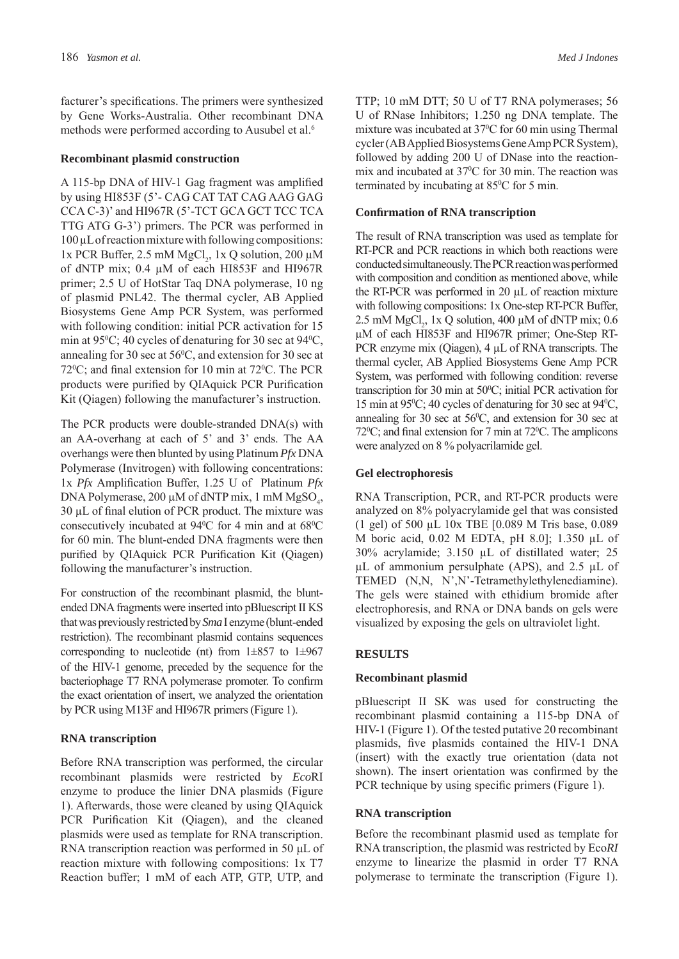facturer's specifications. The primers were synthesized by Gene Works-Australia. Other recombinant DNA methods were performed according to Ausubel et al.<sup>6</sup>

### **Recombinant plasmid construction**

A 115-bp DNA of HIV-1 Gag fragment was amplified by using HI853F (5'- CAG CAT TAT CAG AAG GAG CCA C-3)' and HI967R (5'-TCT GCA GCT TCC TCA TTG ATG G-3') primers. The PCR was performed in 100 μL of reaction mixture with following compositions: 1x PCR Buffer, 2.5 mM  $MgCl_2$ , 1x Q solution, 200 μM of dNTP mix; 0.4 μM of each HI853F and HI967R primer; 2.5 U of HotStar Taq DNA polymerase, 10 ng of plasmid PNL42. The thermal cycler, AB Applied Biosystems Gene Amp PCR System, was performed with following condition: initial PCR activation for 15 min at  $95^{\circ}$ C; 40 cycles of denaturing for 30 sec at  $94^{\circ}$ C, annealing for 30 sec at  $56^{\circ}$ C, and extension for 30 sec at  $72^{\circ}$ C; and final extension for 10 min at  $72^{\circ}$ C. The PCR products were purified by QIAquick PCR Purification Kit (Qiagen) following the manufacturer's instruction.

The PCR products were double-stranded DNA(s) with an AA-overhang at each of 5' and 3' ends. The AA overhangs were then blunted by using Platinum *Pfx* DNA Polymerase (Invitrogen) with following concentrations: 1x *Pfx* Amplification Buffer, 1.25 U of Platinum *Pfx* DNA Polymerase, 200  $\mu$ M of dNTP mix, 1 mM MgSO<sub>4</sub>,  $30 \mu L$  of final elution of PCR product. The mixture was consecutively incubated at  $94^{\circ}$ C for 4 min and at  $68^{\circ}$ C for 60 min. The blunt-ended DNA fragments were then purified by QIAquick PCR Purification Kit (Qiagen) following the manufacturer's instruction.

For construction of the recombinant plasmid, the bluntended DNA fragments were inserted into pBluescript II KS that was previously restricted by *Sma* I enzyme (blunt-ended restriction). The recombinant plasmid contains sequences corresponding to nucleotide (nt) from  $1\pm 857$  to  $1\pm 967$ of the HIV-1 genome, preceded by the sequence for the bacteriophage T7 RNA polymerase promoter. To confirm the exact orientation of insert, we analyzed the orientation by PCR using M13F and HI967R primers (Figure 1).

# **RNA transcription**

Before RNA transcription was performed, the circular recombinant plasmids were restricted by *Eco*RI enzyme to produce the linier DNA plasmids (Figure 1). Afterwards, those were cleaned by using QIAquick PCR Purification Kit (Qiagen), and the cleaned plasmids were used as template for RNA transcription. RNA transcription reaction was performed in 50 μL of reaction mixture with following compositions: 1x T7 Reaction buffer; 1 mM of each ATP, GTP, UTP, and

TTP; 10 mM DTT; 50 U of T7 RNA polymerases; 56 U of RNase Inhibitors; 1.250 ng DNA template. The mixture was incubated at 37°C for 60 min using Thermal cycler (AB Applied Biosystems Gene Amp PCR System), followed by adding 200 U of DNase into the reactionmix and incubated at 37<sup>o</sup>C for 30 min. The reaction was terminated by incubating at 85<sup>o</sup>C for 5 min.

# **Confi rmation of RNA transcription**

The result of RNA transcription was used as template for RT-PCR and PCR reactions in which both reactions were conducted simultaneously. The PCR reaction was performed with composition and condition as mentioned above, while the RT-PCR was performed in 20 μL of reaction mixture with following compositions: 1x One-step RT-PCR Buffer, 2.5 mM MgCl<sub>2</sub>, 1x Q solution, 400 μM of dNTP mix; 0.6 μM of each HI853F and HI967R primer; One-Step RT-PCR enzyme mix (Qiagen), 4 μL of RNA transcripts. The thermal cycler, AB Applied Biosystems Gene Amp PCR System, was performed with following condition: reverse transcription for 30 min at  $50^{\circ}$ C; initial PCR activation for 15 min at  $95^{\circ}$ C; 40 cycles of denaturing for 30 sec at  $94^{\circ}$ C, annealing for 30 sec at  $56^{\circ}$ C, and extension for 30 sec at  $72^{\circ}$ C; and final extension for 7 min at  $72^{\circ}$ C. The amplicons were analyzed on 8 % polyacrilamide gel.

# **Gel electrophoresis**

RNA Transcription, PCR, and RT-PCR products were analyzed on 8% polyacrylamide gel that was consisted (1 gel) of 500 μL 10x TBE [0.089 M Tris base, 0.089 M boric acid, 0.02 M EDTA, pH 8.0]; 1.350 μL of 30% acrylamide; 3.150 μL of distillated water; 25 μL of ammonium persulphate (APS), and 2.5 μL of TEMED (N,N, N',N'-Tetramethylethylenediamine). The gels were stained with ethidium bromide after electrophoresis, and RNA or DNA bands on gels were visualized by exposing the gels on ultraviolet light.

# **RESULTS**

# **Recombinant plasmid**

pBluescript II SK was used for constructing the recombinant plasmid containing a 115-bp DNA of HIV-1 (Figure 1). Of the tested putative 20 recombinant plasmids, five plasmids contained the HIV-1 DNA (insert) with the exactly true orientation (data not shown). The insert orientation was confirmed by the PCR technique by using specific primers (Figure 1).

# **RNA transcription**

Before the recombinant plasmid used as template for RNA transcription, the plasmid was restricted by Eco*RI* enzyme to linearize the plasmid in order T7 RNA polymerase to terminate the transcription (Figure 1).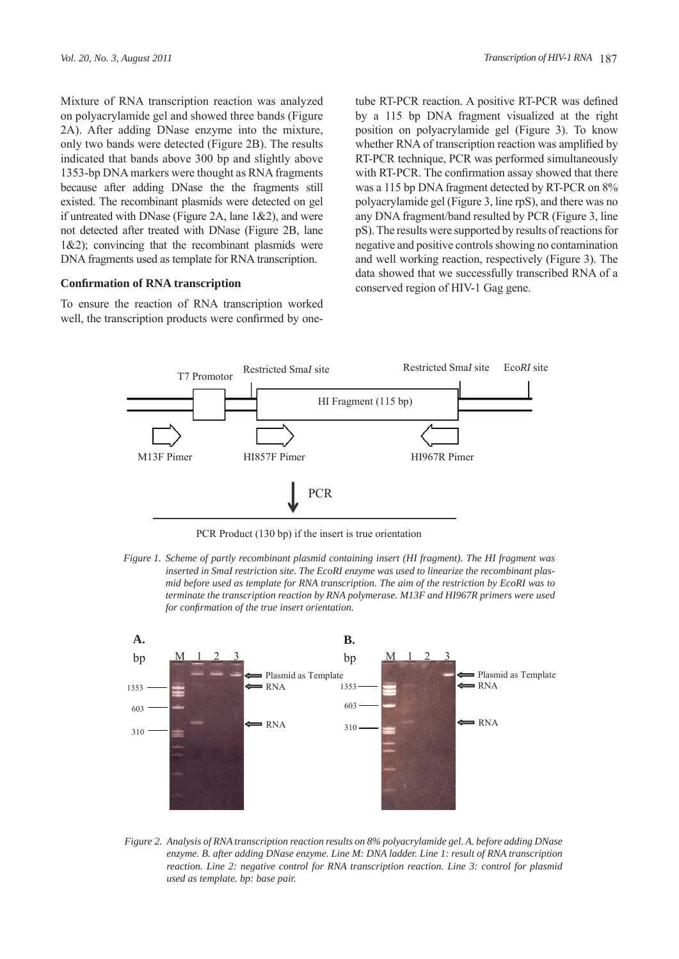Mixture of RNA transcription reaction was analyzed on polyacrylamide gel and showed three bands (Figure 2A). After adding DNase enzyme into the mixture, only two bands were detected (Figure 2B). The results indicated that bands above 300 bp and slightly above 1353-bp DNA markers were thought as RNA fragments because after adding DNase the the fragments still existed. The recombinant plasmids were detected on gel if untreated with DNase (Figure 2A, lane 1&2), and were not detected after treated with DNase (Figure 2B, lane  $1&2$ ; convincing that the recombinant plasmids were DNA fragments used as template for RNA transcription.

### **Confi rmation of RNA transcription**

To ensure the reaction of RNA transcription worked well, the transcription products were confirmed by onetube RT-PCR reaction. A positive RT-PCR was defined by a 115 bp DNA fragment visualized at the right position on polyacrylamide gel (Figure 3). To know whether RNA of transcription reaction was amplified by RT-PCR technique, PCR was performed simultaneously with RT-PCR. The confirmation assay showed that there was a 115 bp DNA fragment detected by RT-PCR on 8% polyacrylamide gel (Figure 3, line rpS), and there was no any DNA fragment/band resulted by PCR (Figure 3, line pS). The results were supported by results of reactions for negative and positive controls showing no contamination and well working reaction, respectively (Figure 3). The data showed that we successfully transcribed RNA of a conserved region of HIV-1 Gag gene.



PCR Product (130 bp) if the insert is true orientation

*Figure 1. Scheme of partly recombinant plasmid containing insert (HI fragment). The HI fragment was inserted in SmaI restriction site. The EcoRI enzyme was used to linearize the recombinant plasmid before used as template for RNA transcription. The aim of the restriction by EcoRI was to terminate the transcription reaction by RNA polymerase. M13F and HI967R primers were used for confirmation of the true insert orientation.* 



*Figure 2. Analysis of RNA transcription reaction results on 8% polyacrylamide gel. A. before adding DNase enzyme. B. after adding DNase enzyme. Line M: DNA ladder. Line 1: result of RNA transcription reaction. Line 2: negative control for RNA transcription reaction. Line 3: control for plasmid used as template. bp: base pair.*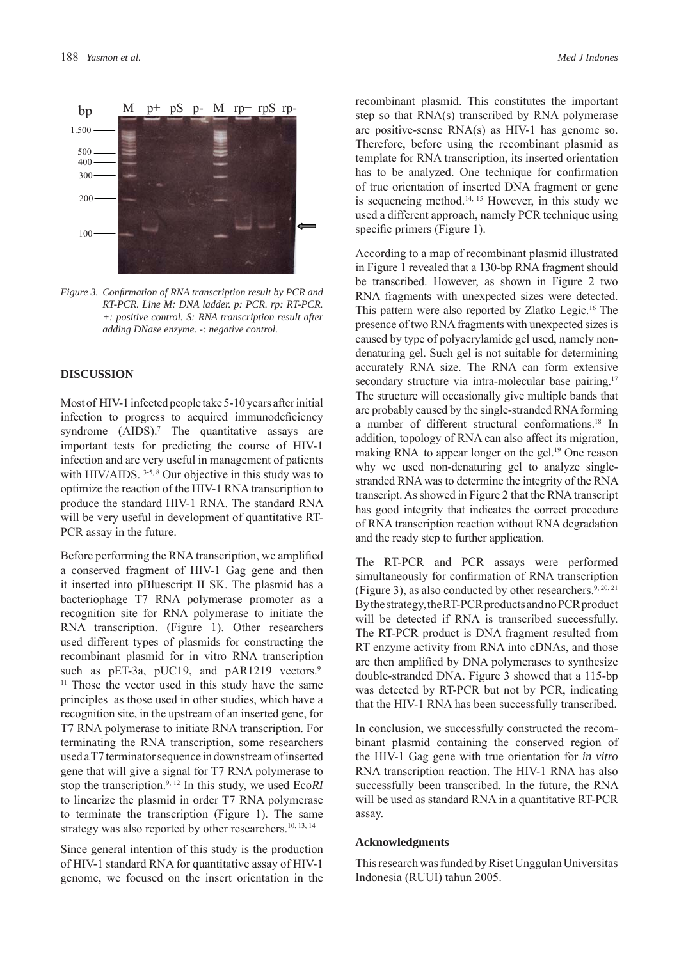

*Figure 3. Confi rmation of RNA transcription result by PCR and RT-PCR. Line M: DNA ladder. p: PCR. rp: RT-PCR. +: positive control. S: RNA transcription result after adding DNase enzyme. -: negative control.*

### **DISCUSSION**

Most of HIV-1 infected people take 5-10 years after initial infection to progress to acquired immunodeficiency syndrome (AIDS).<sup>7</sup> The quantitative assays are important tests for predicting the course of HIV-1 infection and are very useful in management of patients with HIV/AIDS. <sup>3-5, 8</sup> Our objective in this study was to optimize the reaction of the HIV-1 RNA transcription to produce the standard HIV-1 RNA. The standard RNA will be very useful in development of quantitative RT-PCR assay in the future.

Before performing the RNA transcription, we amplified a conserved fragment of HIV-1 Gag gene and then it inserted into pBluescript II SK. The plasmid has a bacteriophage T7 RNA polymerase promoter as a recognition site for RNA polymerase to initiate the RNA transcription. (Figure 1). Other researchers used different types of plasmids for constructing the recombinant plasmid for in vitro RNA transcription such as pET-3a, pUC19, and pAR1219 vectors.<sup>9-</sup> <sup>11</sup> Those the vector used in this study have the same principles as those used in other studies, which have a recognition site, in the upstream of an inserted gene, for T7 RNA polymerase to initiate RNA transcription. For terminating the RNA transcription, some researchers used a T7 terminator sequence in downstream of inserted gene that will give a signal for T7 RNA polymerase to stop the transcription.9, 12 In this study, we used Eco*RI* to linearize the plasmid in order T7 RNA polymerase to terminate the transcription (Figure 1). The same strategy was also reported by other researchers.<sup>10, 13, 14</sup>

Since general intention of this study is the production of HIV-1 standard RNA for quantitative assay of HIV-1 genome, we focused on the insert orientation in the recombinant plasmid. This constitutes the important step so that RNA(s) transcribed by RNA polymerase are positive-sense RNA(s) as HIV-1 has genome so. Therefore, before using the recombinant plasmid as template for RNA transcription, its inserted orientation has to be analyzed. One technique for confirmation of true orientation of inserted DNA fragment or gene is sequencing method.<sup>14, 15</sup> However, in this study we used a different approach, namely PCR technique using specific primers (Figure 1).

According to a map of recombinant plasmid illustrated in Figure 1 revealed that a 130-bp RNA fragment should be transcribed. However, as shown in Figure 2 two RNA fragments with unexpected sizes were detected. This pattern were also reported by Zlatko Legic.16 The presence of two RNA fragments with unexpected sizes is caused by type of polyacrylamide gel used, namely nondenaturing gel. Such gel is not suitable for determining accurately RNA size. The RNA can form extensive secondary structure via intra-molecular base pairing.<sup>17</sup> The structure will occasionally give multiple bands that are probably caused by the single-stranded RNA forming a number of different structural conformations.<sup>18</sup> In addition, topology of RNA can also affect its migration, making RNA to appear longer on the gel.<sup>19</sup> One reason why we used non-denaturing gel to analyze singlestranded RNA was to determine the integrity of the RNA transcript. As showed in Figure 2 that the RNA transcript has good integrity that indicates the correct procedure of RNA transcription reaction without RNA degradation and the ready step to further application.

The RT-PCR and PCR assays were performed simultaneously for confirmation of RNA transcription (Figure 3), as also conducted by other researchers.<sup>9, 20, 21</sup> By the strategy, the RT-PCR products and no PCR product will be detected if RNA is transcribed successfully. The RT-PCR product is DNA fragment resulted from RT enzyme activity from RNA into cDNAs, and those are then amplified by DNA polymerases to synthesize double-stranded DNA. Figure 3 showed that a 115-bp was detected by RT-PCR but not by PCR, indicating that the HIV-1 RNA has been successfully transcribed.

In conclusion, we successfully constructed the recombinant plasmid containing the conserved region of the HIV-1 Gag gene with true orientation for *in vitro*  RNA transcription reaction. The HIV-1 RNA has also successfully been transcribed. In the future, the RNA will be used as standard RNA in a quantitative RT-PCR assay.

#### **Acknowledgments**

This research was funded by Riset Unggulan Universitas Indonesia (RUUI) tahun 2005.